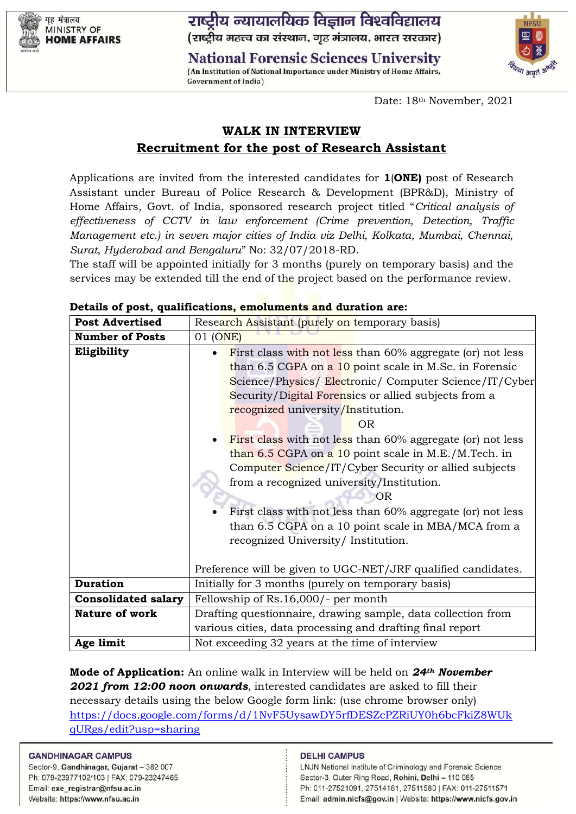गह मंत्रालय **MINISTRY OF HOME AFFAIRS**  राष्ट्रीय न्यायालयिक विज्ञान विश्वविद्यालय (राष्ट्रीय महत्त्व का संस्थान, गृह मंत्रालय, भारत सरकार)

**National Forensic Sciences University** (An Institution of National Importance under Ministry of Home Affairs,



Date: 18th November, 2021

# **WALK IN INTERVIEW Recruitment for the post of Research Assistant**

Applications are invited from the interested candidates for **1**(**ONE)** post of Research Assistant under Bureau of Police Research & Development (BPR&D), Ministry of Home Affairs, Govt. of India, sponsored research project titled "*Critical analysis of effectiveness of CCTV in law enforcement (Crime prevention, Detection, Traffic Management etc.) in seven major cities of India viz Delhi, Kolkata, Mumbai, Chennai, Surat, Hyderabad and Bengaluru*" No: 32/07/2018-RD.

The staff will be appointed initially for 3 months (purely on temporary basis) and the services may be extended till the end of the project based on the performance review.

| <b>Post Advertised</b>     | Research Assistant (purely on temporary basis)                                                                                                                                                                                                                                                                                                                                                                                                                                                                                                                                                                                                                                   |  |  |
|----------------------------|----------------------------------------------------------------------------------------------------------------------------------------------------------------------------------------------------------------------------------------------------------------------------------------------------------------------------------------------------------------------------------------------------------------------------------------------------------------------------------------------------------------------------------------------------------------------------------------------------------------------------------------------------------------------------------|--|--|
| <b>Number of Posts</b>     | 01 (ONE)                                                                                                                                                                                                                                                                                                                                                                                                                                                                                                                                                                                                                                                                         |  |  |
| Eligibility                | First class with not less than 60% aggregate (or) not less<br>than 6.5 CGPA on a 10 point scale in M.Sc. in Forensic<br>Science/Physics/ Electronic/ Computer Science/IT/Cyber<br>Security/Digital Forensics or allied subjects from a<br>recognized university/Institution.<br>OR.<br>First class with not less than 60% aggregate (or) not less<br>than 6.5 CGPA on a 10 point scale in M.E./M.Tech. in<br>Computer Science/IT/Cyber Security or allied subjects<br>from a recognized university/Institution.<br>OR<br>First class with not less than 60% aggregate (or) not less<br>than 6.5 CGPA on a 10 point scale in MBA/MCA from a<br>recognized University/Institution. |  |  |
|                            | Preference will be given to UGC-NET/JRF qualified candidates.                                                                                                                                                                                                                                                                                                                                                                                                                                                                                                                                                                                                                    |  |  |
| <b>Duration</b>            | Initially for 3 months (purely on temporary basis)                                                                                                                                                                                                                                                                                                                                                                                                                                                                                                                                                                                                                               |  |  |
| <b>Consolidated salary</b> | Fellowship of Rs.16,000/- per month                                                                                                                                                                                                                                                                                                                                                                                                                                                                                                                                                                                                                                              |  |  |
| <b>Nature of work</b>      | Drafting questionnaire, drawing sample, data collection from                                                                                                                                                                                                                                                                                                                                                                                                                                                                                                                                                                                                                     |  |  |
|                            | various cities, data processing and drafting final report                                                                                                                                                                                                                                                                                                                                                                                                                                                                                                                                                                                                                        |  |  |
| Age limit                  | Not exceeding 32 years at the time of interview                                                                                                                                                                                                                                                                                                                                                                                                                                                                                                                                                                                                                                  |  |  |

|  |  | Details of post, qualifications, emoluments and duration are: |  |
|--|--|---------------------------------------------------------------|--|
|--|--|---------------------------------------------------------------|--|

**Government of India)** 

**Mode of Application:** An online walk in Interview will be held on *24th November 2021 from 12:00 noon onwards*, interested candidates are asked to fill their necessary details using the below Google form link: (use chrome browser only) [https://docs.google.com/forms/d/1NvF5UysawDY5rfDESZcPZRiUY0h6bcFkiZ8WUk](https://docs.google.com/forms/d/1NvF5UysawDY5rfDESZcPZRiUY0h6bcFkiZ8WUkqURgs/edit?usp=sharing) [qURgs/edit?usp=sharing](https://docs.google.com/forms/d/1NvF5UysawDY5rfDESZcPZRiUY0h6bcFkiZ8WUkqURgs/edit?usp=sharing)

#### **GANDHINAGAR CAMPUS**

Sector-9, Gandhinagar, Gujarat - 382 007 Ph: 079-23977102/103 | FAX: 079-23247465 Email: exe\_registrar@nfsu.ac.in Website: https://www.nfsu.ac.in

#### **DELHI CAMPUS**

LNJN National Institute of Criminology and Forensic Science Sector-3, Outer Ring Road, Rohini, Delhi - 110 085 Ph: 011-27521091, 27514161, 27511580 | FAX: 011-27511571 Email: admin.nicfs@gov.in | Website: https://www.nicfs.gov.in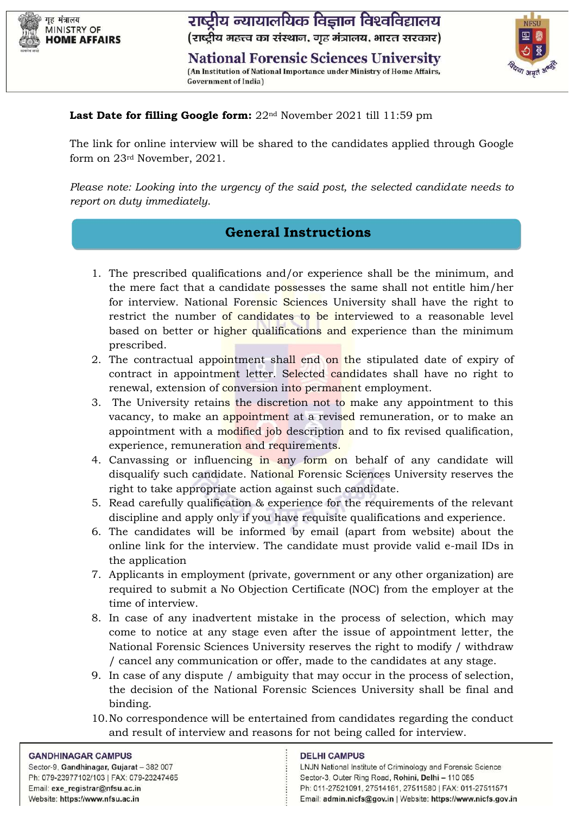

राष्ट्रीय न्यायालयिक विज्ञान विश्वविद्यालय (राष्ट्रीय महत्त्व का संस्थान, गृह मंत्रालय, भारत सरकार)

**National Forensic Sciences University** (An Institution of National Importance under Ministry of Home Affairs, **Government of India)** 



## Last Date for filling Google form: 22<sup>nd</sup> November 2021 till 11:59 pm

The link for online interview will be shared to the candidates applied through Google form on 23rd November, 2021.

*Please note: Looking into the urgency of the said post, the selected candidate needs to report on duty immediately*.

## **General Instructions**

- 1. The prescribed qualifications and/or experience shall be the minimum, and the mere fact that a candidate possesses the same shall not entitle him/her for interview. National Forensic Sciences University shall have the right to restrict the number of candidates to be interviewed to a reasonable level based on better or higher qualifications and experience than the minimum prescribed.
- 2. The contractual appointment shall end on the stipulated date of expiry of contract in appointment letter. Selected candidates shall have no right to renewal, extension of conversion into permanent employment.
- 3. The University retains the discretion not to make any appointment to this vacancy, to make an appointment at a revised remuneration, or to make an appointment with a modified job description and to fix revised qualification, experience, remuneration and requirements.
- 4. Canvassing or influencing in any form on behalf of any candidate will disqualify such candidate. National Forensic Sciences University reserves the right to take appropriate action against such candidate.
- 5. Read carefully qualification & experience for the requirements of the relevant discipline and apply only if you have requisite qualifications and experience.
- 6. The candidates will be informed by email (apart from website) about the online link for the interview. The candidate must provide valid e-mail IDs in the application
- 7. Applicants in employment (private, government or any other organization) are required to submit a No Objection Certificate (NOC) from the employer at the time of interview.
- 8. In case of any inadvertent mistake in the process of selection, which may come to notice at any stage even after the issue of appointment letter, the National Forensic Sciences University reserves the right to modify / withdraw / cancel any communication or offer, made to the candidates at any stage.
- 9. In case of any dispute / ambiguity that may occur in the process of selection, the decision of the National Forensic Sciences University shall be final and binding.
- 10.No correspondence will be entertained from candidates regarding the conduct and result of interview and reasons for not being called for interview.

#### **GANDHINAGAR CAMPUS**

Sector-9, Gandhinagar, Gujarat - 382 007 Ph: 079-23977102/103 | FAX: 079-23247465 Email: exe\_registrar@nfsu.ac.in Website: https://www.nfsu.ac.in

#### **DELHI CAMPUS**

LNJN National Institute of Criminology and Forensic Science Sector-3, Outer Ring Road, Rohini, Delhi - 110 085 Ph: 011-27521091, 27514161, 27511580 | FAX: 011-27511571 Email: admin.nicfs@gov.in | Website: https://www.nicfs.gov.in